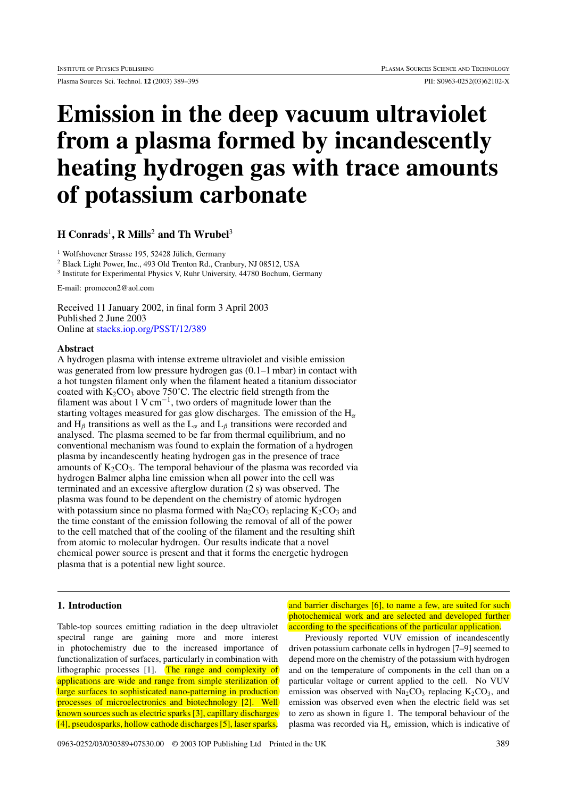Plasma Sources Sci. Technol. **12** (2003) 389–395 PII: S0963-0252(03)62102-X

# **Emission in the deep vacuum ultraviolet from a plasma formed by incandescently heating hydrogen gas with trace amounts of potassium carbonate**

# **H Conrads**<sup>1</sup>**, R Mills**<sup>2</sup> **and Th Wrubel**<sup>3</sup>

 $<sup>1</sup>$  Wolfshovener Strasse 195, 52428 Jülich, Germany</sup>

<sup>2</sup> Black Light Power, Inc., 493 Old Trenton Rd., Cranbury, NJ 08512, USA

<sup>3</sup> Institute for Experimental Physics V, Ruhr University, 44780 Bochum, Germany

E-mail: promecon2@aol.com

Received 11 January 2002, in final form 3 April 2003 Published 2 June 2003 Online at [stacks.iop.org/PSST/12/389](http://stacks.iop.org/ps/12/389)

#### **Abstract**

A hydrogen plasma with intense extreme ultraviolet and visible emission was generated from low pressure hydrogen gas  $(0.1-1 \text{ mbar})$  in contact with a hot tungsten filament only when the filament heated a titanium dissociator coated with  $K_2CO_3$  above 750°C. The electric field strength from the filament was about 1 V cm<sup>-1</sup>, two orders of magnitude lower than the starting voltages measured for gas glow discharges. The emission of the H*<sup>α</sup>* and  $H_\beta$  transitions as well as the  $L_\alpha$  and  $L_\beta$  transitions were recorded and analysed. The plasma seemed to be far from thermal equilibrium, and no conventional mechanism was found to explain the formation of a hydrogen plasma by incandescently heating hydrogen gas in the presence of trace amounts of  $K_2CO_3$ . The temporal behaviour of the plasma was recorded via hydrogen Balmer alpha line emission when all power into the cell was terminated and an excessive afterglow duration (2 s) was observed. The plasma was found to be dependent on the chemistry of atomic hydrogen with potassium since no plasma formed with  $Na<sub>2</sub>CO<sub>3</sub>$  replacing  $K<sub>2</sub>CO<sub>3</sub>$  and the time constant of the emission following the removal of all of the power to the cell matched that of the cooling of the filament and the resulting shift from atomic to molecular hydrogen. Our results indicate that a novel chemical power source is present and that it forms the energetic hydrogen plasma that is a potential new light source.

#### **1. Introduction**

Table-top sources emitting radiation in the deep ultraviolet spectral range are gaining more and more interest in photochemistry due to the increased importance of functionalization of surfaces, particularly in combination with lithographic processes [1]. The range and complexity of applications are wide and range from simple sterilization of large surfaces to sophisticated nano-patterning in production processes of microelectronics and biotechnology [2]. Well known sources such as electric sparks [3], capillary discharges [4], pseudosparks, hollow cathode discharges [5], laser sparks,

and barrier discharges [6], to name a few, are suited for such photochemical work and are selected and developed further according to the specifications of the particular application.

Previously reported VUV emission of incandescently driven potassium carbonate cells in hydrogen [7–9] seemed to depend more on the chemistry of the potassium with hydrogen and on the temperature of components in the cell than on a particular voltage or current applied to the cell. No VUV emission was observed with  $Na<sub>2</sub>CO<sub>3</sub>$  replacing  $K<sub>2</sub>CO<sub>3</sub>$ , and emission was observed even when the electric field was set to zero as shown in figure 1. The temporal behaviour of the plasma was recorded via H*<sup>α</sup>* emission, which is indicative of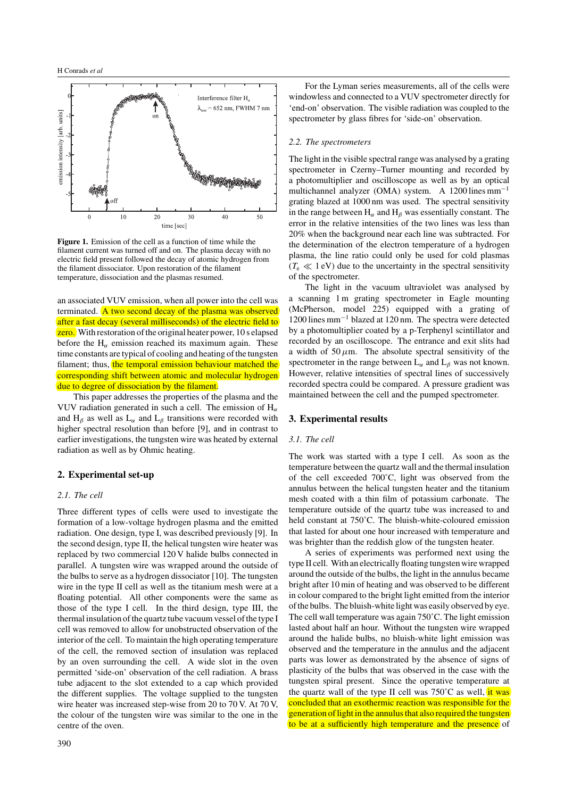

**Figure 1.** Emission of the cell as a function of time while the filament current was turned off and on. The plasma decay with no electric field present followed the decay of atomic hydrogen from the filament dissociator. Upon restoration of the filament temperature, dissociation and the plasmas resumed.

an associated VUV emission, when all power into the cell was terminated. A two second decay of the plasma was observed after a fast decay (several milliseconds) of the electric field to **zero.** With restoration of the original heater power, 10 s elapsed before the  $H_\alpha$  emission reached its maximum again. These time constants are typical of cooling and heating of the tungsten filament; thus, the temporal emission behaviour matched the corresponding shift between atomic and molecular hydrogen due to degree of dissociation by the filament.

This paper addresses the properties of the plasma and the VUV radiation generated in such a cell. The emission of H*<sup>α</sup>* and  $H_\beta$  as well as  $L_\alpha$  and  $L_\beta$  transitions were recorded with higher spectral resolution than before [9], and in contrast to earlier investigations, the tungsten wire was heated by external radiation as well as by Ohmic heating.

## **2. Experimental set-up**

## *2.1. The cell*

Three different types of cells were used to investigate the formation of a low-voltage hydrogen plasma and the emitted radiation. One design, type I, was described previously [9]. In the second design, type II, the helical tungsten wire heater was replaced by two commercial 120 V halide bulbs connected in parallel. A tungsten wire was wrapped around the outside of the bulbs to serve as a hydrogen dissociator [10]. The tungsten wire in the type II cell as well as the titanium mesh were at a floating potential. All other components were the same as those of the type I cell. In the third design, type III, the thermal insulation of the quartz tube vacuum vessel of the type I cell was removed to allow for unobstructed observation of the interior of the cell. To maintain the high operating temperature of the cell, the removed section of insulation was replaced by an oven surrounding the cell. A wide slot in the oven permitted 'side-on' observation of the cell radiation. A brass tube adjacent to the slot extended to a cap which provided the different supplies. The voltage supplied to the tungsten wire heater was increased step-wise from 20 to 70 V. At 70 V, the colour of the tungsten wire was similar to the one in the centre of the oven.

For the Lyman series measurements, all of the cells were windowless and connected to a VUV spectrometer directly for 'end-on' observation. The visible radiation was coupled to the spectrometer by glass fibres for 'side-on' observation.

## *2.2. The spectrometers*

The light in the visible spectral range was analysed by a grating spectrometer in Czerny–Turner mounting and recorded by a photomultiplier and oscilloscope as well as by an optical multichannel analyzer (OMA) system. A 1200 lines  $mm^{-1}$ grating blazed at 1000 nm was used. The spectral sensitivity in the range between  $H_\alpha$  and  $H_\beta$  was essentially constant. The error in the relative intensities of the two lines was less than 20% when the background near each line was subtracted. For the determination of the electron temperature of a hydrogen plasma, the line ratio could only be used for cold plasmas  $(T_e \ll 1 \text{ eV})$  due to the uncertainty in the spectral sensitivity of the spectrometer.

The light in the vacuum ultraviolet was analysed by a scanning 1 m grating spectrometer in Eagle mounting (McPherson, model 225) equipped with a grating of 1200 lines mm−<sup>1</sup> blazed at 120 nm. The spectra were detected by a photomultiplier coated by a p-Terphenyl scintillator and recorded by an oscilloscope. The entrance and exit slits had a width of  $50 \mu m$ . The absolute spectral sensitivity of the spectrometer in the range between  $L_{\alpha}$  and  $L_{\beta}$  was not known. However, relative intensities of spectral lines of successively recorded spectra could be compared. A pressure gradient was maintained between the cell and the pumped spectrometer.

#### **3. Experimental results**

#### *3.1. The cell*

The work was started with a type I cell. As soon as the temperature between the quartz wall and the thermal insulation of the cell exceeded 700˚C, light was observed from the annulus between the helical tungsten heater and the titanium mesh coated with a thin film of potassium carbonate. The temperature outside of the quartz tube was increased to and held constant at 750˚C. The bluish-white-coloured emission that lasted for about one hour increased with temperature and was brighter than the reddish glow of the tungsten heater.

A series of experiments was performed next using the type II cell. With an electrically floating tungsten wire wrapped around the outside of the bulbs, the light in the annulus became bright after 10 min of heating and was observed to be different in colour compared to the bright light emitted from the interior of the bulbs. The bluish-white light was easily observed by eye. The cell wall temperature was again 750˚C. The light emission lasted about half an hour. Without the tungsten wire wrapped around the halide bulbs, no bluish-white light emission was observed and the temperature in the annulus and the adjacent parts was lower as demonstrated by the absence of signs of plasticity of the bulbs that was observed in the case with the tungsten spiral present. Since the operative temperature at the quartz wall of the type II cell was  $750^{\circ}$ C as well, it was concluded that an exothermic reaction was responsible for the generation of light in the annulus that also required the tungsten to be at a sufficiently high temperature and the presence of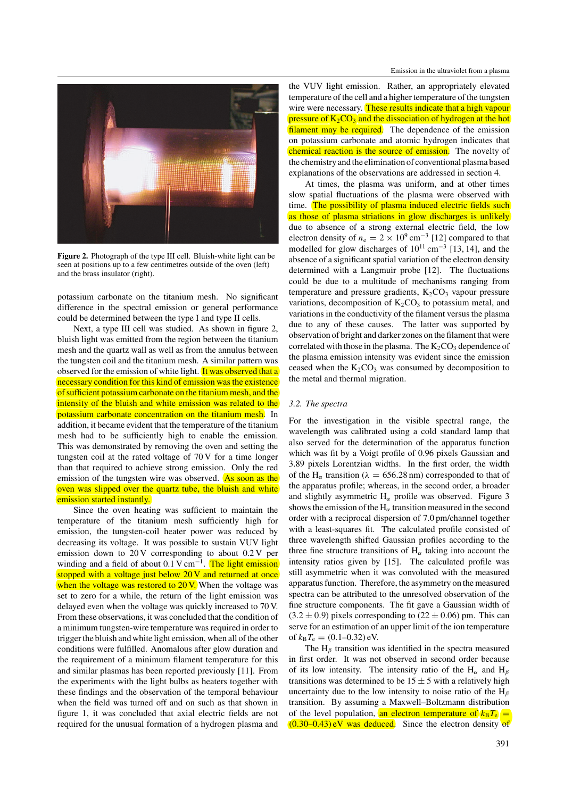

**Figure 2.** Photograph of the type III cell. Bluish-white light can be seen at positions up to a few centimetres outside of the oven (left) and the brass insulator (right).

potassium carbonate on the titanium mesh. No significant difference in the spectral emission or general performance could be determined between the type I and type II cells.

Next, a type III cell was studied. As shown in figure 2, bluish light was emitted from the region between the titanium mesh and the quartz wall as well as from the annulus between the tungsten coil and the titanium mesh. A similar pattern was observed for the emission of white light. It was observed that a necessary condition for this kind of emission was the existence of sufficient potassium carbonate on the titanium mesh, and the intensity of the bluish and white emission was related to the potassium carbonate concentration on the titanium mesh. In addition, it became evident that the temperature of the titanium mesh had to be sufficiently high to enable the emission. This was demonstrated by removing the oven and setting the tungsten coil at the rated voltage of 70 V for a time longer than that required to achieve strong emission. Only the red emission of the tungsten wire was observed. As soon as the oven was slipped over the quartz tube, the bluish and white emission started instantly.

Since the oven heating was sufficient to maintain the temperature of the titanium mesh sufficiently high for emission, the tungsten-coil heater power was reduced by decreasing its voltage. It was possible to sustain VUV light emission down to 20 V corresponding to about 0.2 V per winding and a field of about 0.1 V cm<sup>-1</sup>. The light emission stopped with a voltage just below 20 V and returned at once when the voltage was restored to 20 V. When the voltage was set to zero for a while, the return of the light emission was delayed even when the voltage was quickly increased to 70 V. From these observations, it was concluded that the condition of a minimum tungsten-wire temperature was required in order to trigger the bluish and white light emission, when all of the other conditions were fulfilled. Anomalous after glow duration and the requirement of a minimum filament temperature for this and similar plasmas has been reported previously [11]. From the experiments with the light bulbs as heaters together with these findings and the observation of the temporal behaviour when the field was turned off and on such as that shown in figure 1, it was concluded that axial electric fields are not required for the unusual formation of a hydrogen plasma and

the VUV light emission. Rather, an appropriately elevated temperature of the cell and a higher temperature of the tungsten wire were necessary. These results indicate that a high vapour pressure of  $K_2CO_3$  and the dissociation of hydrogen at the hot filament may be required. The dependence of the emission on potassium carbonate and atomic hydrogen indicates that chemical reaction is the source of emission. The novelty of the chemistry and the elimination of conventional plasma based explanations of the observations are addressed in section 4.

At times, the plasma was uniform, and at other times slow spatial fluctuations of the plasma were observed with time. The possibility of plasma induced electric fields such as those of plasma striations in glow discharges is unlikely due to absence of a strong external electric field, the low electron density of  $n_e = 2 \times 10^9$  cm<sup>-3</sup> [12] compared to that modelled for glow discharges of  $10^{11}$  cm<sup>-3</sup> [13, 14], and the absence of a significant spatial variation of the electron density determined with a Langmuir probe [12]. The fluctuations could be due to a multitude of mechanisms ranging from temperature and pressure gradients,  $K_2CO_3$  vapour pressure variations, decomposition of  $K_2CO_3$  to potassium metal, and variations in the conductivity of the filament versus the plasma due to any of these causes. The latter was supported by observation of bright and darker zones on the filament that were correlated with those in the plasma. The  $K_2CO_3$  dependence of the plasma emission intensity was evident since the emission ceased when the  $K_2CO_3$  was consumed by decomposition to the metal and thermal migration.

#### *3.2. The spectra*

For the investigation in the visible spectral range, the wavelength was calibrated using a cold standard lamp that also served for the determination of the apparatus function which was fit by a Voigt profile of 0.96 pixels Gaussian and 3.89 pixels Lorentzian widths. In the first order, the width of the H<sub>α</sub> transition ( $\lambda = 656.28$  nm) corresponded to that of the apparatus profile; whereas, in the second order, a broader and slightly asymmetric  $H_\alpha$  profile was observed. Figure 3 shows the emission of the  $H_\alpha$  transition measured in the second order with a reciprocal dispersion of 7.0 pm/channel together with a least-squares fit. The calculated profile consisted of three wavelength shifted Gaussian profiles according to the three fine structure transitions of  $H_\alpha$  taking into account the intensity ratios given by [15]. The calculated profile was still asymmetric when it was convoluted with the measured apparatus function. Therefore, the asymmetry on the measured spectra can be attributed to the unresolved observation of the fine structure components. The fit gave a Gaussian width of  $(3.2 \pm 0.9)$  pixels corresponding to  $(22 \pm 0.06)$  pm. This can serve for an estimation of an upper limit of the ion temperature of  $k_B T_e = (0.1 - 0.32)$  eV.

The H*<sup>β</sup>* transition was identified in the spectra measured in first order. It was not observed in second order because of its low intensity. The intensity ratio of the H*<sup>α</sup>* and H*<sup>β</sup>* transitions was determined to be  $15 \pm 5$  with a relatively high uncertainty due to the low intensity to noise ratio of the H*<sup>β</sup>* transition. By assuming a Maxwell–Boltzmann distribution of the level population, an electron temperature of  $k_B T_e$  = *(*0*.*30–0.43) eV was deduced. Since the electron density of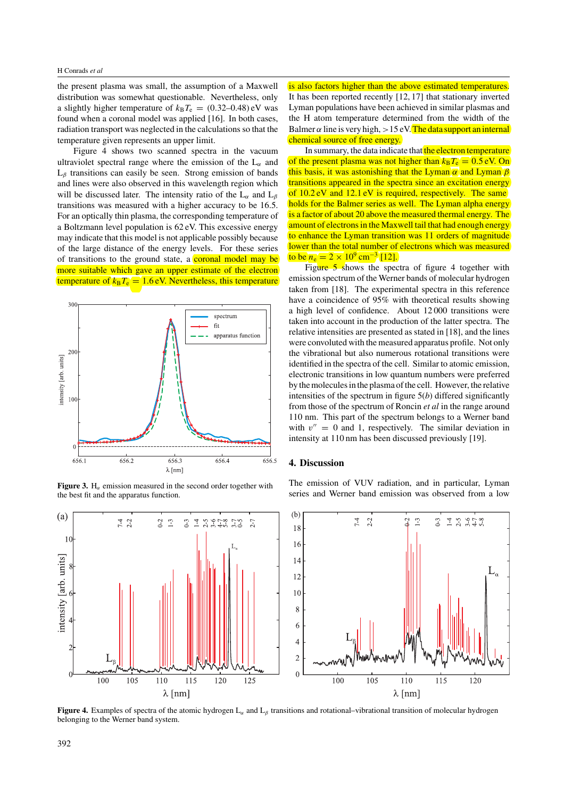the present plasma was small, the assumption of a Maxwell distribution was somewhat questionable. Nevertheless, only a slightly higher temperature of  $k_B T_e = (0.32{\text -}0.48) \text{ eV}$  was found when a coronal model was applied [16]. In both cases, radiation transport was neglected in the calculations so that the temperature given represents an upper limit.

Figure 4 shows two scanned spectra in the vacuum ultraviolet spectral range where the emission of the L*<sup>α</sup>* and L*<sup>β</sup>* transitions can easily be seen. Strong emission of bands and lines were also observed in this wavelength region which will be discussed later. The intensity ratio of the L*<sup>α</sup>* and L*<sup>β</sup>* transitions was measured with a higher accuracy to be 16.5. For an optically thin plasma, the corresponding temperature of a Boltzmann level population is 62 eV. This excessive energy may indicate that this model is not applicable possibly because of the large distance of the energy levels. For these series of transitions to the ground state, a coronal model may be more suitable which gave an upper estimate of the electron temperature of  $k_B T_e = 1.6$  eV. Nevertheless, this temperature



**Figure 3.** H<sub> $\alpha$ </sub> emission measured in the second order together with the best fit and the apparatus function.

is also factors higher than the above estimated temperatures. It has been reported recently [12, 17] that stationary inverted Lyman populations have been achieved in similar plasmas and the H atom temperature determined from the width of the Balmer  $\alpha$  line is very high,  $> 15 \text{ eV}$ . The data support an internal chemical source of free energy.

In summary, the data indicate that the electron temperature of the present plasma was not higher than  $k_B T_e = 0.5$  eV. On this basis, it was astonishing that the Lyman *α* and Lyman *β* transitions appeared in the spectra since an excitation energy of 10.2 eV and 12.1 eV is required, respectively. The same holds for the Balmer series as well. The Lyman alpha energy is a factor of about 20 above the measured thermal energy. The amount of electrons in the Maxwell tail that had enough energy to enhance the Lyman transition was 11 orders of magnitude lower than the total number of electrons which was measured to be  $n_e = 2 \times 10^9$  cm<sup>-3</sup> [12].

Figure 5 shows the spectra of figure 4 together with emission spectrum of the Werner bands of molecular hydrogen taken from [18]. The experimental spectra in this reference have a coincidence of 95% with theoretical results showing a high level of confidence. About 12 000 transitions were taken into account in the production of the latter spectra. The relative intensities are presented as stated in [18], and the lines were convoluted with the measured apparatus profile. Not only the vibrational but also numerous rotational transitions were identified in the spectra of the cell. Similar to atomic emission, electronic transitions in low quantum numbers were preferred by the molecules in the plasma of the cell. However, the relative intensities of the spectrum in figure 5(*b*) differed significantly from those of the spectrum of Roncin *et al* in the range around 110 nm. This part of the spectrum belongs to a Werner band with  $v'' = 0$  and 1, respectively. The similar deviation in intensity at 110 nm has been discussed previously [19].

## **4. Discussion**

The emission of VUV radiation, and in particular, Lyman series and Werner band emission was observed from a low



**Figure 4.** Examples of spectra of the atomic hydrogen L*<sup>α</sup>* and L*<sup>β</sup>* transitions and rotational–vibrational transition of molecular hydrogen belonging to the Werner band system.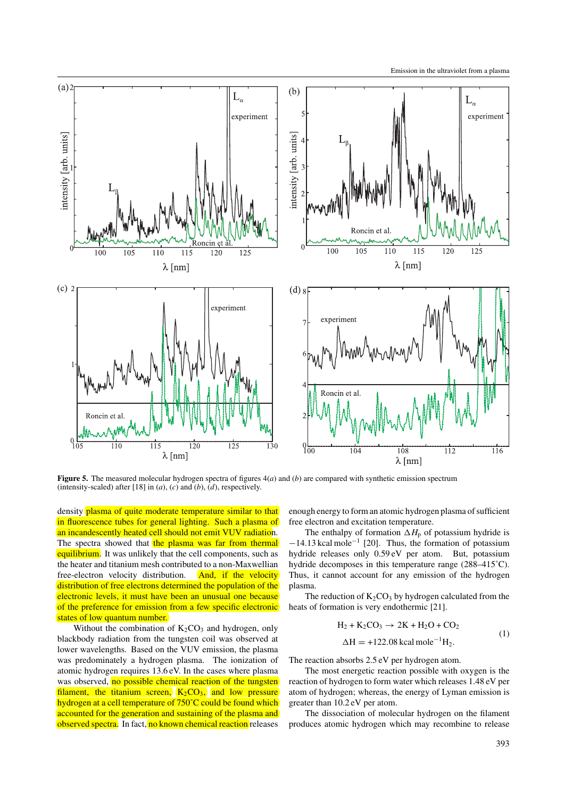

**Figure 5.** The measured molecular hydrogen spectra of figures 4(*a*) and (*b*) are compared with synthetic emission spectrum (intensity-scaled) after [18] in  $(a)$ ,  $(c)$  and  $(b)$ ,  $(d)$ , respectively.

density plasma of quite moderate temperature similar to that in fluorescence tubes for general lighting. Such a plasma of an incandescently heated cell should not emit VUV radiation. The spectra showed that the plasma was far from thermal equilibrium. It was unlikely that the cell components, such as the heater and titanium mesh contributed to a non-Maxwellian free-electron velocity distribution. And, if the velocity distribution of free electrons determined the population of the electronic levels, it must have been an unusual one because of the preference for emission from a few specific electronic states of low quantum number.

Without the combination of  $K_2CO_3$  and hydrogen, only blackbody radiation from the tungsten coil was observed at lower wavelengths. Based on the VUV emission, the plasma was predominately a hydrogen plasma. The ionization of atomic hydrogen requires 13.6 eV. In the cases where plasma was observed, no possible chemical reaction of the tungsten filament, the titanium screen,  $K_2CO_3$ , and low pressure hydrogen at a cell temperature of 750°C could be found which accounted for the generation and sustaining of the plasma and observed spectra. In fact, no known chemical reaction releases

enough energy to form an atomic hydrogen plasma of sufficient free electron and excitation temperature.

The enthalpy of formation  $\Delta H_p$  of potassium hydride is <sup>−</sup>14.13 kcal mole−<sup>1</sup> [20]. Thus, the formation of potassium hydride releases only 0.59 eV per atom. But, potassium hydride decomposes in this temperature range (288–415˚C). Thus, it cannot account for any emission of the hydrogen plasma.

The reduction of  $K_2CO_3$  by hydrogen calculated from the heats of formation is very endothermic [21].

$$
H2 + K2CO3 \rightarrow 2K + H2O + CO2
$$
  
\n
$$
\Delta H = +122.08 \text{ kcal mole}^{-1}H2.
$$
\n(1)

The reaction absorbs 2.5 eV per hydrogen atom.

The most energetic reaction possible with oxygen is the reaction of hydrogen to form water which releases 1.48 eV per atom of hydrogen; whereas, the energy of Lyman emission is greater than 10.2 eV per atom.

The dissociation of molecular hydrogen on the filament produces atomic hydrogen which may recombine to release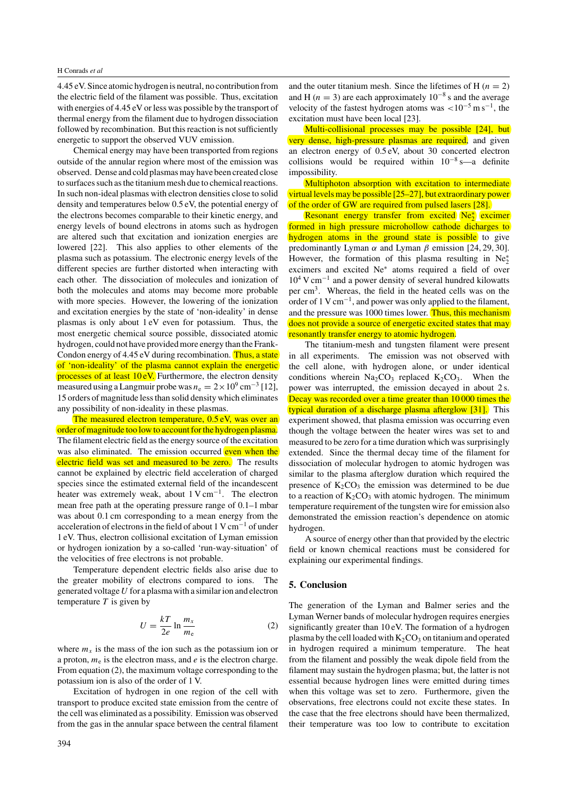#### H Conrads *et al*

4.45 eV. Since atomic hydrogen is neutral, no contribution from the electric field of the filament was possible. Thus, excitation with energies of 4.45 eV or less was possible by the transport of thermal energy from the filament due to hydrogen dissociation followed by recombination. But this reaction is not sufficiently energetic to support the observed VUV emission.

Chemical energy may have been transported from regions outside of the annular region where most of the emission was observed. Dense and cold plasmas may have been created close to surfaces such as the titanium mesh due to chemical reactions. In such non-ideal plasmas with electron densities close to solid density and temperatures below 0.5 eV, the potential energy of the electrons becomes comparable to their kinetic energy, and energy levels of bound electrons in atoms such as hydrogen are altered such that excitation and ionization energies are lowered [22]. This also applies to other elements of the plasma such as potassium. The electronic energy levels of the different species are further distorted when interacting with each other. The dissociation of molecules and ionization of both the molecules and atoms may become more probable with more species. However, the lowering of the ionization and excitation energies by the state of 'non-ideality' in dense plasmas is only about 1 eV even for potassium. Thus, the most energetic chemical source possible, dissociated atomic hydrogen, could not have provided more energy than the Frank-Condon energy of 4.45 eV during recombination. Thus, a state of 'non-ideality' of the plasma cannot explain the energetic processes of at least 10 eV. Furthermore, the electron density measured using a Langmuir probe was  $n_e = 2 \times 10^9$  cm<sup>-3</sup> [12], 15 orders of magnitude less than solid density which eliminates any possibility of non-ideality in these plasmas.

The measured electron temperature, 0.5 eV, was over an order of magnitude too low to account for the hydrogen plasma. The filament electric field as the energy source of the excitation was also eliminated. The emission occurred even when the electric field was set and measured to be zero. The results cannot be explained by electric field acceleration of charged species since the estimated external field of the incandescent heater was extremely weak, about  $1 \text{ V cm}^{-1}$ . The electron mean free path at the operating pressure range of 0.1–1 mbar was about 0.1 cm corresponding to a mean energy from the acceleration of electrons in the field of about 1 V cm−<sup>1</sup> of under 1 eV. Thus, electron collisional excitation of Lyman emission or hydrogen ionization by a so-called 'run-way-situation' of the velocities of free electrons is not probable.

Temperature dependent electric fields also arise due to the greater mobility of electrons compared to ions. The generated voltage *U* for a plasma with a similar ion and electron temperature *T* is given by

$$
U = \frac{kT}{2e} \ln \frac{m_x}{m_e} \tag{2}
$$

where  $m<sub>x</sub>$  is the mass of the ion such as the potassium ion or a proton,  $m_e$  is the electron mass, and  $e$  is the electron charge. From equation (2), the maximum voltage corresponding to the potassium ion is also of the order of 1 V.

Excitation of hydrogen in one region of the cell with transport to produce excited state emission from the centre of the cell was eliminated as a possibility. Emission was observed from the gas in the annular space between the central filament and the outer titanium mesh. Since the lifetimes of H  $(n = 2)$ and H ( $n = 3$ ) are each approximately 10<sup>-8</sup> s and the average velocity of the fastest hydrogen atoms was *<*10−<sup>5</sup> m s−1, the excitation must have been local [23].

Multi-collisional processes may be possible [24], but very dense, high-pressure plasmas are required, and given an electron energy of 0.5 eV, about 30 concerted electron collisions would be required within  $10^{-8}$  s—a definite impossibility.

Multiphoton absorption with excitation to intermediate virtual levels may be possible [25–27], but extraordinary power of the order of GW are required from pulsed lasers [28].

Resonant energy transfer from excited Ne<sup>∗</sup> excimer formed in high pressure microhollow cathode dicharges to hydrogen atoms in the ground state is possible to give predominantly Lyman *α* and Lyman *β* emission [24, 29, 30]. However, the formation of this plasma resulting in  $Ne<sub>2</sub><sup>*</sup>$ excimers and excited Ne∗ atoms required a field of over 10<sup>4</sup> V cm−<sup>1</sup> and a power density of several hundred kilowatts per cm3. Whereas, the field in the heated cells was on the order of 1 V cm−1, and power was only applied to the filament, and the pressure was 1000 times lower. Thus, this mechanism does not provide a source of energetic excited states that may resonantly transfer energy to atomic hydrogen.

The titanium-mesh and tungsten filament were present in all experiments. The emission was not observed with the cell alone, with hydrogen alone, or under identical conditions wherein  $Na<sub>2</sub>CO<sub>3</sub>$  replaced  $K<sub>2</sub>CO<sub>3</sub>$ . When the power was interrupted, the emission decayed in about 2 s. Decay was recorded over a time greater than 10000 times the typical duration of a discharge plasma afterglow [31]. This experiment showed, that plasma emission was occurring even though the voltage between the heater wires was set to and measured to be zero for a time duration which was surprisingly extended. Since the thermal decay time of the filament for dissociation of molecular hydrogen to atomic hydrogen was similar to the plasma afterglow duration which required the presence of  $K_2CO_3$  the emission was determined to be due to a reaction of  $K_2CO_3$  with atomic hydrogen. The minimum temperature requirement of the tungsten wire for emission also demonstrated the emission reaction's dependence on atomic hydrogen.

A source of energy other than that provided by the electric field or known chemical reactions must be considered for explaining our experimental findings.

#### **5. Conclusion**

The generation of the Lyman and Balmer series and the Lyman Werner bands of molecular hydrogen requires energies significantly greater than 10 eV. The formation of a hydrogen plasma by the cell loaded with  $K_2CO_3$  on titanium and operated in hydrogen required a minimum temperature. The heat from the filament and possibly the weak dipole field from the filament may sustain the hydrogen plasma; but, the latter is not essential because hydrogen lines were emitted during times when this voltage was set to zero. Furthermore, given the observations, free electrons could not excite these states. In the case that the free electrons should have been thermalized, their temperature was too low to contribute to excitation